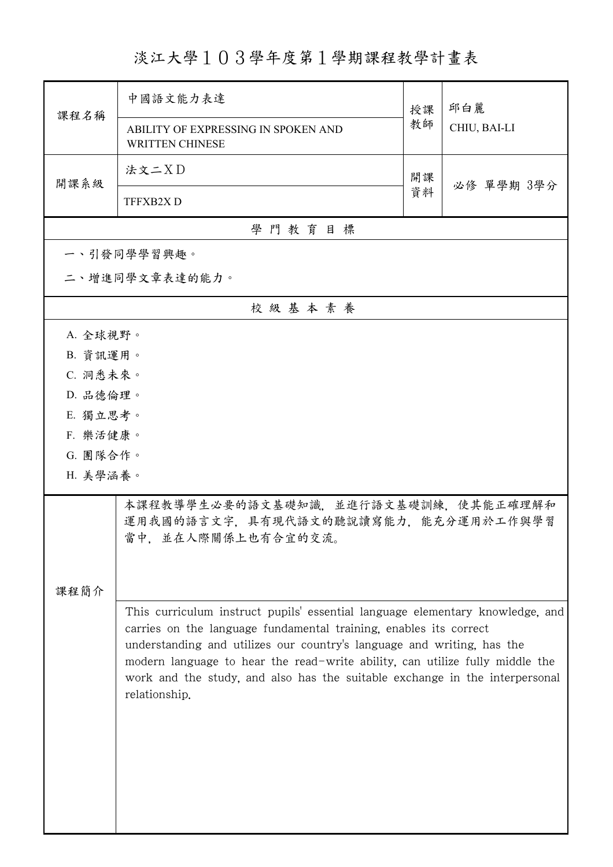## 淡江大學103學年度第1學期課程教學計畫表

| 課程名稱     | 中國語文能力表達                                                                                                                                    | 授課 | 邱白麗          |  |  |  |
|----------|---------------------------------------------------------------------------------------------------------------------------------------------|----|--------------|--|--|--|
|          | ABILITY OF EXPRESSING IN SPOKEN AND<br><b>WRITTEN CHINESE</b>                                                                               | 教師 | CHIU, BAI-LI |  |  |  |
| 開課系級     | 法文二XD                                                                                                                                       | 開課 | 必修 單學期 3學分   |  |  |  |
|          | TFFXB2XD                                                                                                                                    | 資料 |              |  |  |  |
| 學門教育目標   |                                                                                                                                             |    |              |  |  |  |
|          | 一、引發同學學習興趣。                                                                                                                                 |    |              |  |  |  |
|          | 二、增進同學文章表達的能力。                                                                                                                              |    |              |  |  |  |
|          | 校級基本素養                                                                                                                                      |    |              |  |  |  |
| A. 全球視野。 |                                                                                                                                             |    |              |  |  |  |
| B. 資訊運用。 |                                                                                                                                             |    |              |  |  |  |
| C. 洞悉未來。 |                                                                                                                                             |    |              |  |  |  |
| D. 品德倫理。 |                                                                                                                                             |    |              |  |  |  |
| E. 獨立思考。 |                                                                                                                                             |    |              |  |  |  |
| F. 樂活健康。 |                                                                                                                                             |    |              |  |  |  |
| G. 團隊合作。 |                                                                                                                                             |    |              |  |  |  |
| H. 美學涵養。 |                                                                                                                                             |    |              |  |  |  |
|          | 本課程教導學生必要的語文基礎知識,並進行語文基礎訓練,使其能正確理解和                                                                                                         |    |              |  |  |  |
|          | 運用我國的語言文字,具有現代語文的聽說讀寫能力,能充分運用於工作與學習<br>當中, 並在人際關係上也有合宜的交流。                                                                                  |    |              |  |  |  |
|          |                                                                                                                                             |    |              |  |  |  |
|          |                                                                                                                                             |    |              |  |  |  |
| 課程簡介     |                                                                                                                                             |    |              |  |  |  |
|          | This curriculum instruct pupils' essential language elementary knowledge, and                                                               |    |              |  |  |  |
|          | carries on the language fundamental training, enables its correct<br>understanding and utilizes our country's language and writing, has the |    |              |  |  |  |
|          | modern language to hear the read-write ability, can utilize fully middle the                                                                |    |              |  |  |  |
|          | work and the study, and also has the suitable exchange in the interpersonal                                                                 |    |              |  |  |  |
|          | relationship.                                                                                                                               |    |              |  |  |  |
|          |                                                                                                                                             |    |              |  |  |  |
|          |                                                                                                                                             |    |              |  |  |  |
|          |                                                                                                                                             |    |              |  |  |  |
|          |                                                                                                                                             |    |              |  |  |  |
|          |                                                                                                                                             |    |              |  |  |  |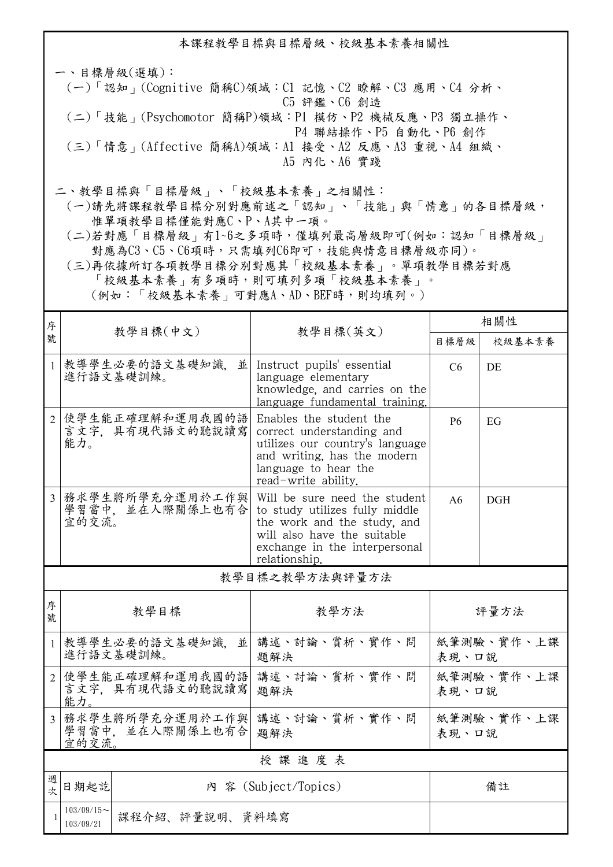本課程教學目標與目標層級、校級基本素養相關性 一、目標層級(選填): (一)「認知」(Cognitive 簡稱C)領域:C1 記憶、C2 瞭解、C3 應用、C4 分析、 C5 評鑑、C6 創造 (二)「技能」(Psychomotor 簡稱P)領域:P1 模仿、P2 機械反應、P3 獨立操作、 P4 聯結操作、P5 自動化、P6 創作 (三)「情意」(Affective 簡稱A)領域:A1 接受、A2 反應、A3 重視、A4 組織、 A5 內化、A6 實踐 二、教學目標與「目標層級」、「校級基本素養」之相關性:

 (一)請先將課程教學目標分別對應前述之「認知」、「技能」與「情意」的各目標層級, 惟單項教學目標僅能對應C、P、A其中一項。

 (二)若對應「目標層級」有1~6之多項時,僅填列最高層級即可(例如:認知「目標層級」 對應為C3、C5、C6項時,只需填列C6即可,技能與情意目標層級亦同)。

 (三)再依據所訂各項教學目標分別對應其「校級基本素養」。單項教學目標若對應 「校級基本素養」有多項時,則可填列多項「校級基本素養」。 (例如:「校級基本素養」可對應A、AD、BEF時,則均填列。)

| 序              | 教學目標(中文)                                       |                                                                                                                                                                                 | 相關性                 |            |  |  |  |
|----------------|------------------------------------------------|---------------------------------------------------------------------------------------------------------------------------------------------------------------------------------|---------------------|------------|--|--|--|
| 號              |                                                | 教學目標(英文)                                                                                                                                                                        | 目標層級                | 校級基本素養     |  |  |  |
| $\mathbf{1}$   | 教導學生必要的語文基礎知識<br>並<br>進行語文基礎訓練。                | Instruct pupils' essential<br>language elementary<br>knowledge, and carries on the<br>language fundamental training.                                                            | C <sub>6</sub>      | DE         |  |  |  |
| $\overline{2}$ | 使學生能正確理解和運用我國的語<br>言文字,具有現代語文的聽說讀寫<br>能力。      | Enables the student the<br>correct understanding and<br>utilizes our country's language<br>and writing, has the modern<br>language to hear the<br>read-write ability.           | <b>P6</b>           | EG         |  |  |  |
|                | 3 務求學生將所學充分運用於工作與<br>學習當中, 並在人際關係上也有合<br>宜的交流。 | Will be sure need the student<br>to study utilizes fully middle<br>the work and the study, and<br>will also have the suitable<br>exchange in the interpersonal<br>relationship. | A6                  | <b>DGH</b> |  |  |  |
|                | 教學目標之教學方法與評量方法                                 |                                                                                                                                                                                 |                     |            |  |  |  |
| 序<br>號         | 教學目標                                           | 教學方法                                                                                                                                                                            | 評量方法                |            |  |  |  |
| $\mathbf{1}$   | 教導學生必要的語文基礎知識<br>進行語文基礎訓練。                     | 並 講述、討論、賞析、實作、問<br>題解決                                                                                                                                                          | 紙筆測驗、實作、上課<br>表現、口說 |            |  |  |  |
| 2 <sup>1</sup> | 使學生能正確理解和運用我國的語<br>言文字,具有現代語文的聽說讀寫<br>能力。      | 講述、討論、賞析、實作、問<br>題解決                                                                                                                                                            | 紙筆測驗、實作、上課<br>表現、口說 |            |  |  |  |
| $\overline{3}$ | 務求學生將所學充分運用於工作與<br>學習當中, 並在人際關係上也有合<br>宜的交流    | 講述、討論、賞析、實作、問<br>題解決                                                                                                                                                            | 紙筆測驗、實作、上課<br>表現、口說 |            |  |  |  |
|                | 授課進度表                                          |                                                                                                                                                                                 |                     |            |  |  |  |
| 週<br>欤         | 日期起訖                                           | 内 容 (Subject/Topics)                                                                                                                                                            |                     | 備註         |  |  |  |
| 1              | $103/09/15$ ~<br>課程介紹、評量說明、資料填寫<br>103/09/21   |                                                                                                                                                                                 |                     |            |  |  |  |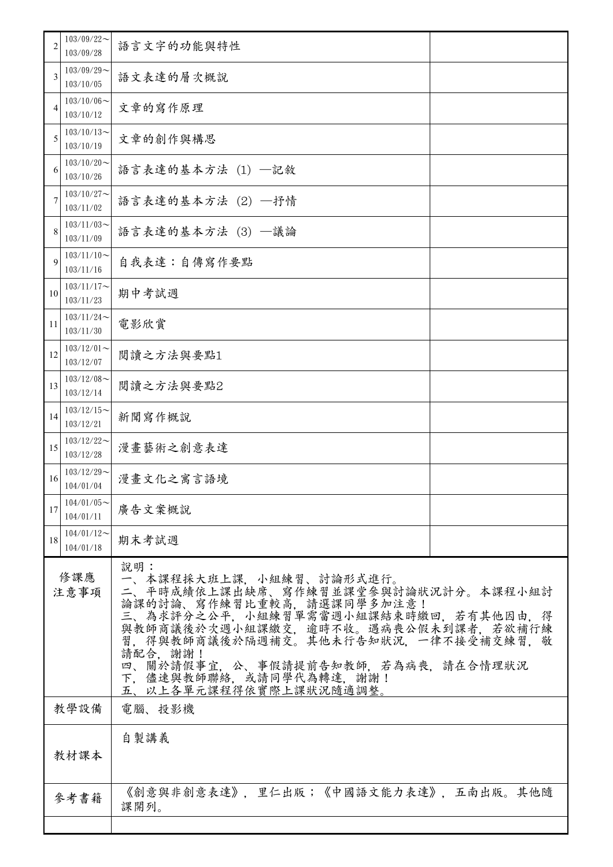| $\overline{2}$                                                                                                | $103/09/22$ ~<br>103/09/28    | 語言文字的功能與特性                                                                                                                                                                                                                 |  |
|---------------------------------------------------------------------------------------------------------------|-------------------------------|----------------------------------------------------------------------------------------------------------------------------------------------------------------------------------------------------------------------------|--|
| 3                                                                                                             | $103/09/29$ ~<br>103/10/05    | 語文表達的層次概說                                                                                                                                                                                                                  |  |
| 4                                                                                                             | $103/10/06 \sim$<br>103/10/12 | 文章的寫作原理                                                                                                                                                                                                                    |  |
| 5                                                                                                             | $103/10/13$ ~<br>103/10/19    | 文章的創作與構思                                                                                                                                                                                                                   |  |
| 6                                                                                                             | $103/10/20$ ~<br>103/10/26    | 語言表達的基本方法 (1) —記敘                                                                                                                                                                                                          |  |
| 7                                                                                                             | $103/10/27$ ~<br>103/11/02    | 語言表達的基本方法 (2) 一抒情                                                                                                                                                                                                          |  |
| 8                                                                                                             | $103/11/03$ ~<br>103/11/09    | 語言表達的基本方法 (3) —議論                                                                                                                                                                                                          |  |
| 9                                                                                                             | $103/11/10$ ~<br>103/11/16    | 自我表達:自傳寫作要點                                                                                                                                                                                                                |  |
| 10                                                                                                            | $103/11/17$ ~<br>103/11/23    | 期中考試週                                                                                                                                                                                                                      |  |
| 11                                                                                                            | $103/11/24$ ~<br>103/11/30    | 電影欣賞                                                                                                                                                                                                                       |  |
| 12                                                                                                            | $103/12/01$ ~<br>103/12/07    | 閱讀之方法與要點1                                                                                                                                                                                                                  |  |
| 13                                                                                                            | $103/12/08$ ~<br>103/12/14    | 閲讀之方法與要點2                                                                                                                                                                                                                  |  |
| 14                                                                                                            | $103/12/15$ ~<br>103/12/21    | 新聞寫作概說                                                                                                                                                                                                                     |  |
| 15                                                                                                            | $103/12/22$ ~<br>103/12/28    | 漫畫藝術之創意表達                                                                                                                                                                                                                  |  |
| 16                                                                                                            | $103/12/29$ ~<br>104/01/04    | 漫畫文化之寓言語境                                                                                                                                                                                                                  |  |
| 17                                                                                                            | $104/01/05$ ~<br>104/01/11    | 廣告文案概說                                                                                                                                                                                                                     |  |
| 18                                                                                                            | $104/01/12$ ~<br>104/01/18    | 期末考試週                                                                                                                                                                                                                      |  |
| 說明:<br>修課應<br>一、本課程採大班上課,小組練習、討論形式進行。<br>注意事項<br>請配合, 謝謝!<br>下,儘速與教師聯絡,或請同學代為轉達,謝謝!<br>五、以上各單元課程得依實際上課狀況隨適調整。 |                               | 二、平時成績依上課出缺席、寫作練習並課堂參與討論狀況計分。本課程小組討<br>論課的討論、寫作練習比重較高,請選課同學多加注意!<br>三、為求評分之公平,小組練習單需當週小組課結束時繳回,若有其他因由,得<br>與教師商議後於次週小組課繳交,逾時不收。遇病喪公假未到課者,若欲補行練<br>習,得與教師商議後於隔週補交。其他未行告知狀況,一律不接受補交練習,敬<br>四、關於請假事宜,公、事假請提前告知教師,若為病喪,請在合情理狀況 |  |
|                                                                                                               | 教學設備<br>電腦、投影機                |                                                                                                                                                                                                                            |  |
|                                                                                                               | 教材課本                          | 自製講義                                                                                                                                                                                                                       |  |
|                                                                                                               | 參考書籍                          | 《創意與非創意表達》,里仁出版;《中國語文能力表達》,五南出版。其他隨<br>課開列。                                                                                                                                                                                |  |